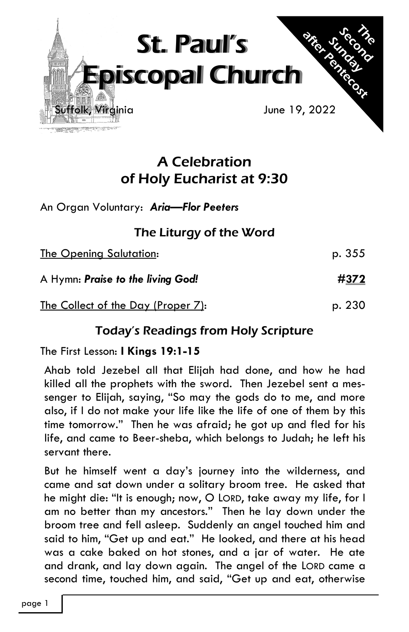

# A Celebration of Holy Eucharist at 9:30

An Organ Voluntary: *Aria—Flor Peeters* 

## The Liturgy of the Word

The Opening Salutation: p. 355

A Hymn: *Praise to the living God! #***372**

The Collect of the Day (Proper 7): p. 230

## Today's Readings from Holy Scripture

The First Lesson: **I Kings 19:1-15**

Ahab told Jezebel all that Elijah had done, and how he had killed all the prophets with the sword. Then Jezebel sent a messenger to Elijah, saying, "So may the gods do to me, and more also, if I do not make your life like the life of one of them by this time tomorrow." Then he was afraid; he got up and fled for his life, and came to Beer-sheba, which belongs to Judah; he left his servant there.

But he himself went a day's journey into the wilderness, and came and sat down under a solitary broom tree. He asked that he might die: "It is enough; now, O LORD, take away my life, for I am no better than my ancestors." Then he lay down under the broom tree and fell asleep. Suddenly an angel touched him and said to him, "Get up and eat." He looked, and there at his head was a cake baked on hot stones, and a jar of water. He ate and drank, and lay down again. The angel of the LORD came a second time, touched him, and said, "Get up and eat, otherwise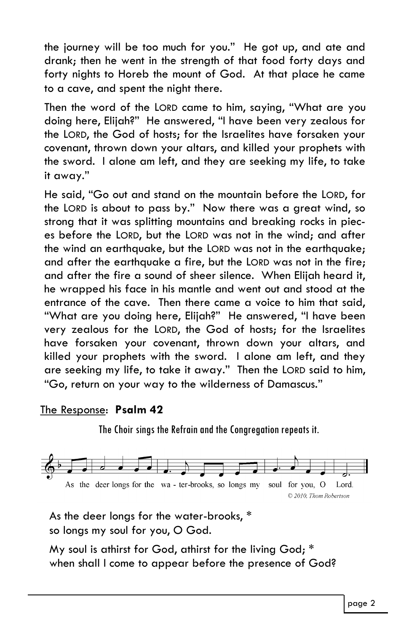the journey will be too much for you." He got up, and ate and drank; then he went in the strength of that food forty days and forty nights to Horeb the mount of God. At that place he came to a cave, and spent the night there.

Then the word of the LORD came to him, saying, "What are you doing here, Elijah?" He answered, "I have been very zealous for the LORD, the God of hosts; for the Israelites have forsaken your covenant, thrown down your altars, and killed your prophets with the sword. I alone am left, and they are seeking my life, to take it away."

He said, "Go out and stand on the mountain before the LORD, for the LORD is about to pass by." Now there was a great wind, so strong that it was splitting mountains and breaking rocks in pieces before the LORD, but the LORD was not in the wind; and after the wind an earthquake, but the LORD was not in the earthquake; and after the earthquake a fire, but the LORD was not in the fire; and after the fire a sound of sheer silence. When Elijah heard it, he wrapped his face in his mantle and went out and stood at the entrance of the cave. Then there came a voice to him that said, "What are you doing here, Elijah?" He answered, "I have been very zealous for the LORD, the God of hosts; for the Israelites have forsaken your covenant, thrown down your altars, and killed your prophets with the sword. I alone am left, and they are seeking my life, to take it away." Then the LORD said to him, "Go, return on your way to the wilderness of Damascus."

### The Response: **Psalm 42**

The Choir sings the Refrain and the Congregation repeats it.



As the deer longs for the water-brooks, \* so longs my soul for you, O God.

My soul is athirst for God, athirst for the living God; \* when shall I come to appear before the presence of God?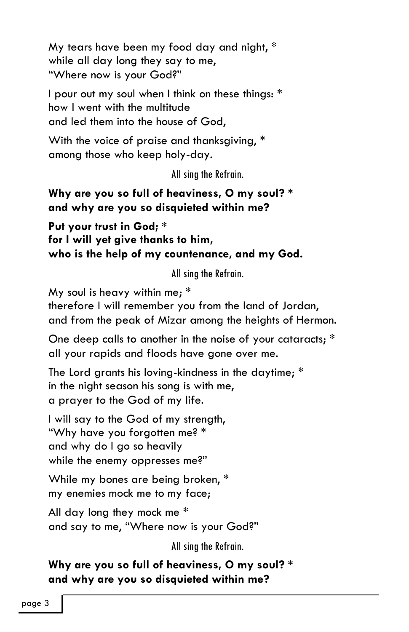My tears have been my food day and night, \* while all day long they say to me, "Where now is your God?"

I pour out my soul when I think on these things: \* how I went with the multitude and led them into the house of God,

With the voice of praise and thanksgiving, \* among those who keep holy-day.

All sing the Refrain.

### **Why are you so full of heaviness, O my soul? \* and why are you so disquieted within me?**

**Put your trust in God; \* for I will yet give thanks to him, who is the help of my countenance, and my God.**

All sing the Refrain.

My soul is heavy within me; \*

therefore I will remember you from the land of Jordan, and from the peak of Mizar among the heights of Hermon.

One deep calls to another in the noise of your cataracts; \* all your rapids and floods have gone over me.

The Lord grants his loving-kindness in the daytime; \* in the night season his song is with me, a prayer to the God of my life.

I will say to the God of my strength, "Why have you forgotten me? \* and why do I go so heavily while the enemy oppresses me?"

While my bones are being broken, \* my enemies mock me to my face;

All day long they mock me \* and say to me, "Where now is your God?"

All sing the Refrain.

**Why are you so full of heaviness, O my soul? \* and why are you so disquieted within me?**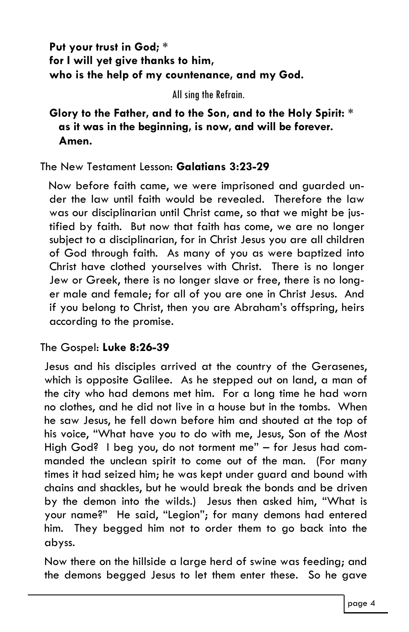**Put your trust in God; \* for I will yet give thanks to him, who is the help of my countenance, and my God.**

All sing the Refrain.

### **Glory to the Father, and to the Son, and to the Holy Spirit: \* as it was in the beginning, is now, and will be forever. Amen.**

### The New Testament Lesson: **Galatians 3:23-29**

Now before faith came, we were imprisoned and guarded under the law until faith would be revealed. Therefore the law was our disciplinarian until Christ came, so that we might be justified by faith. But now that faith has come, we are no longer subject to a disciplinarian, for in Christ Jesus you are all children of God through faith. As many of you as were baptized into Christ have clothed yourselves with Christ. There is no longer Jew or Greek, there is no longer slave or free, there is no longer male and female; for all of you are one in Christ Jesus. And if you belong to Christ, then you are Abraham's offspring, heirs according to the promise.

### The Gospel: **Luke 8:26-39**

Jesus and his disciples arrived at the country of the Gerasenes, which is opposite Galilee. As he stepped out on land, a man of the city who had demons met him. For a long time he had worn no clothes, and he did not live in a house but in the tombs. When he saw Jesus, he fell down before him and shouted at the top of his voice, "What have you to do with me, Jesus, Son of the Most High God? I beg you, do not torment me" – for Jesus had commanded the unclean spirit to come out of the man. (For many times it had seized him; he was kept under guard and bound with chains and shackles, but he would break the bonds and be driven by the demon into the wilds.) Jesus then asked him, "What is your name?" He said, "Legion"; for many demons had entered him. They begged him not to order them to go back into the abyss.

Now there on the hillside a large herd of swine was feeding; and the demons begged Jesus to let them enter these. So he gave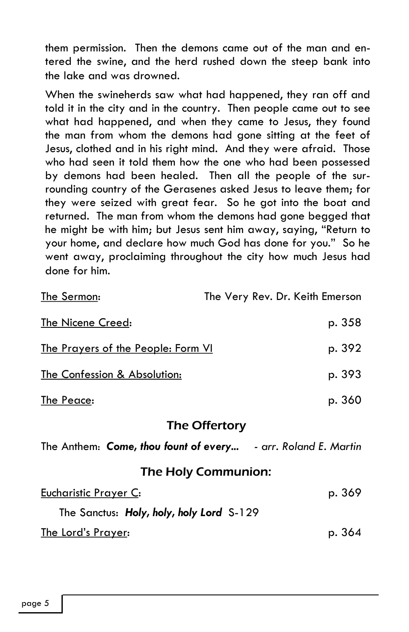them permission. Then the demons came out of the man and entered the swine, and the herd rushed down the steep bank into the lake and was drowned.

When the swineherds saw what had happened, they ran off and told it in the city and in the country. Then people came out to see what had happened, and when they came to Jesus, they found the man from whom the demons had gone sitting at the feet of Jesus, clothed and in his right mind. And they were afraid. Those who had seen it told them how the one who had been possessed by demons had been healed. Then all the people of the surrounding country of the Gerasenes asked Jesus to leave them; for they were seized with great fear. So he got into the boat and returned. The man from whom the demons had gone begged that he might be with him; but Jesus sent him away, saying, "Return to your home, and declare how much God has done for you." So he went away, proclaiming throughout the city how much Jesus had done for him.

| The Sermon:                                                   |  | The Very Rev. Dr. Keith Emerson |  |  |
|---------------------------------------------------------------|--|---------------------------------|--|--|
| <b>The Nicene Creed:</b>                                      |  | p. 358                          |  |  |
| <u>The Prayers of the People: Form VI</u>                     |  | p. 392                          |  |  |
| The Confession & Absolution:                                  |  | p. 393                          |  |  |
| The Peace:                                                    |  | p. 360                          |  |  |
| The Offertory                                                 |  |                                 |  |  |
| The Anthem: Come, thou fount of every - arr. Roland E. Martin |  |                                 |  |  |
| <b>The Holy Communion:</b>                                    |  |                                 |  |  |
| <b>Eucharistic Prayer C:</b>                                  |  | p. 369                          |  |  |
| The Sanctus: Holy, holy, holy Lord S-129                      |  |                                 |  |  |
| The Lord's Prayer:                                            |  | p. 364                          |  |  |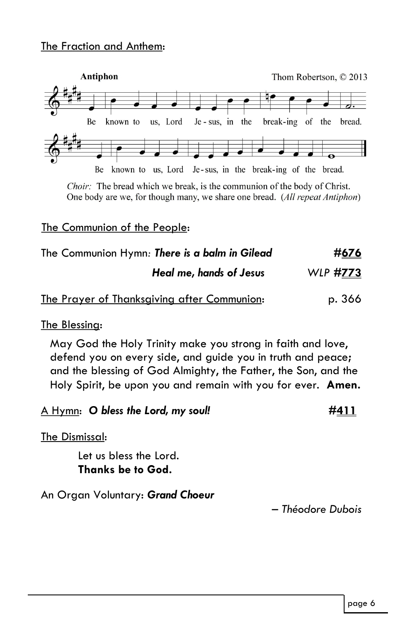#### The Fraction and Anthem:



Choir: The bread which we break, is the communion of the body of Christ. One body are we, for though many, we share one bread. (All repeat Antiphon)

#### The Communion of the People:

| The Communion Hymn: There is a balm in Gilead | #676     |
|-----------------------------------------------|----------|
| Heal me, hands of Jesus                       | WLP #773 |
| The Prayer of Thanksgiving after Communion:   | p. 366   |

#### The Blessing:

May God the Holy Trinity make you strong in faith and love, defend you on every side, and guide you in truth and peace**;**  and the blessing of God Almighty, the Father, the Son, and the Holy Spirit, be upon you and remain with you for ever. **Amen.**

A Hymn: *O bless the Lord, my soul! #***411**

The Dismissal:

Let us bless the Lord. **Thanks be to God.**

An Organ Voluntary: *Grand Choeur*

*– Théodore Dubois*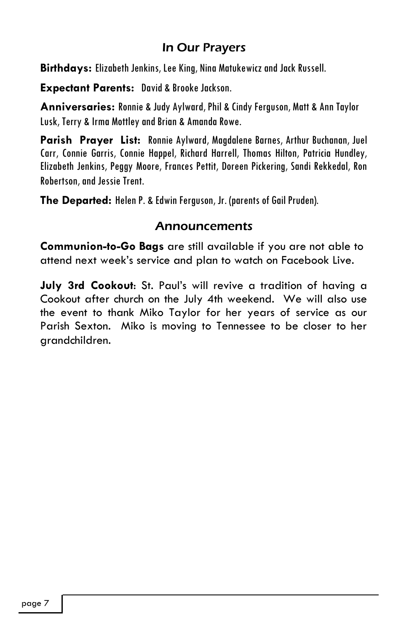### In Our Prayers

**Birthdays:** Elizabeth Jenkins, Lee King, Nina Matukewicz and Jack Russell.

**Expectant Parents:** David & Brooke Jackson.

**Anniversaries:** Ronnie & Judy Aylward, Phil & Cindy Ferguson, Matt & Ann Taylor Lusk, Terry & Irma Mottley and Brian & Amanda Rowe.

**Parish Prayer List:** Ronnie Aylward, Magdalene Barnes, Arthur Buchanan, Juel Carr, Connie Garris, Connie Happel, Richard Harrell, Thomas Hilton, Patricia Hundley, Elizabeth Jenkins, Peggy Moore, Frances Pettit, Doreen Pickering, Sandi Rekkedal, Ron Robertson, and Jessie Trent.

**The Departed:** Helen P. & Edwin Ferguson, Jr. (parents of Gail Pruden).

### Announcements

**Communion-to-Go Bags** are still available if you are not able to attend next week's service and plan to watch on Facebook Live.

**July 3rd Cookout**: St. Paul's will revive a tradition of having a Cookout after church on the July 4th weekend. We will also use the event to thank Miko Taylor for her years of service as our Parish Sexton. Miko is moving to Tennessee to be closer to her grandchildren.